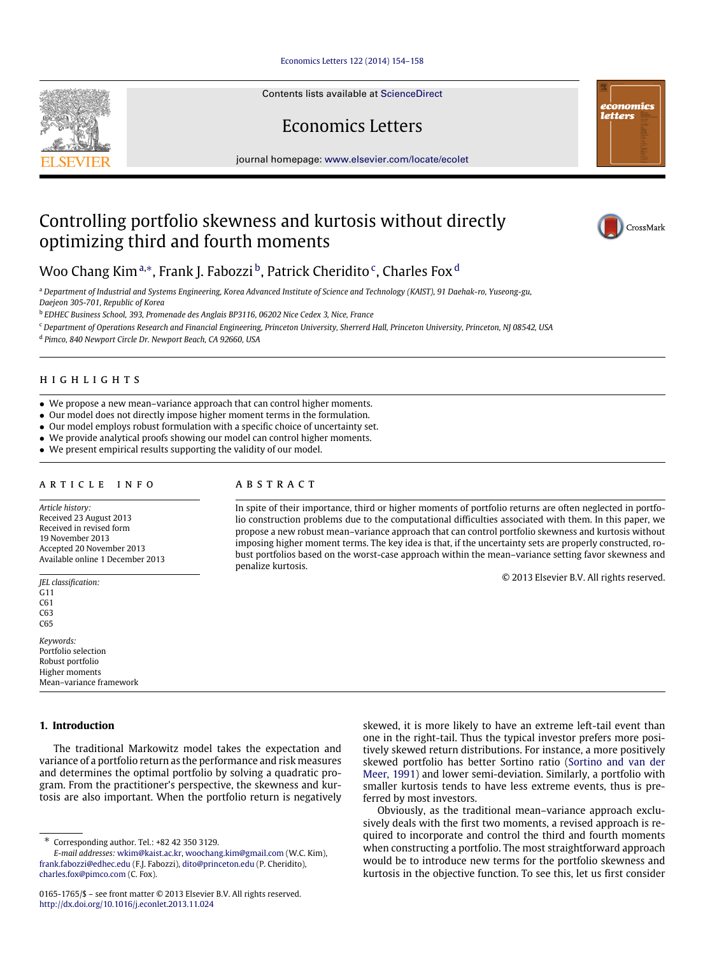## [Economics Letters 122 \(2014\) 154–158](http://dx.doi.org/10.1016/j.econlet.2013.11.024)

Contents lists available at [ScienceDirect](http://www.elsevier.com/locate/ecolet)

Economics Letters

journal homepage: [www.elsevier.com/locate/ecolet](http://www.elsevier.com/locate/ecolet)

# Controlling portfolio skewness and kurtosis without directly optimizing third and fourth moments

Woo Chang Kim <sup>[a,](#page-0-0)</sup>\*, Frank J. Fa[b](#page-0-2)ozzi <sup>b</sup>, Patri[c](#page-0-3)k Cheri[d](#page-0-4)ito <sup>c</sup>, Charles Fox <sup>d</sup>

<span id="page-0-0"></span><sup>a</sup> *Department of Industrial and Systems Engineering, Korea Advanced Institute of Science and Technology (KAIST), 91 Daehak-ro, Yuseong-gu, Daejeon 305-701, Republic of Korea*

<span id="page-0-2"></span>b *EDHEC Business School, 393, Promenade des Anglais BP3116, 06202 Nice Cedex 3, Nice, France*

<span id="page-0-3"></span><sup>c</sup> *Department of Operations Research and Financial Engineering, Princeton University, Sherrerd Hall, Princeton University, Princeton, NJ 08542, USA*

<span id="page-0-4"></span>d *Pimco, 840 Newport Circle Dr. Newport Beach, CA 92660, USA*

# h i g h l i g h t s

- We propose a new mean–variance approach that can control higher moments.
- Our model does not directly impose higher moment terms in the formulation.
- Our model employs robust formulation with a specific choice of uncertainty set.
- We provide analytical proofs showing our model can control higher moments.
- We present empirical results supporting the validity of our model.

# a r t i c l e i n f o

*Article history:* Received 23 August 2013 Received in revised form 19 November 2013 Accepted 20 November 2013 Available online 1 December 2013

*JEL classification:* G11 C61

C63 C65

*Keywords:* Portfolio selection Robust portfolio Higher moments Mean–variance framework

# **1. Introduction**

The traditional Markowitz model takes the expectation and variance of a portfolio return as the performance and risk measures and determines the optimal portfolio by solving a quadratic program. From the practitioner's perspective, the skewness and kurtosis are also important. When the portfolio return is negatively

<span id="page-0-1"></span>∗ Corresponding author. Tel.: +82 42 350 3129.

# a b s t r a c t

In spite of their importance, third or higher moments of portfolio returns are often neglected in portfolio construction problems due to the computational difficulties associated with them. In this paper, we propose a new robust mean–variance approach that can control portfolio skewness and kurtosis without imposing higher moment terms. The key idea is that, if the uncertainty sets are properly constructed, robust portfolios based on the worst-case approach within the mean–variance setting favor skewness and penalize kurtosis.

© 2013 Elsevier B.V. All rights reserved.

skewed, it is more likely to have an extreme left-tail event than one in the right-tail. Thus the typical investor prefers more positively skewed return distributions. For instance, a more positively skewed portfolio has better Sortino ratio [\(Sortino](#page-4-0) [and](#page-4-0) [van](#page-4-0) [der](#page-4-0) [Meer,](#page-4-0) [1991\)](#page-4-0) and lower semi-deviation. Similarly, a portfolio with smaller kurtosis tends to have less extreme events, thus is preferred by most investors.

Obviously, as the traditional mean–variance approach exclusively deals with the first two moments, a revised approach is required to incorporate and control the third and fourth moments when constructing a portfolio. The most straightforward approach would be to introduce new terms for the portfolio skewness and kurtosis in the objective function. To see this, let us first consider





economics letters

*E-mail addresses:* [wkim@kaist.ac.kr,](mailto:wkim@kaist.ac.kr) [woochang.kim@gmail.com](mailto:woochang.kim@gmail.com) (W.C. Kim), [frank.fabozzi@edhec.edu](mailto:frank.fabozzi@edhec.edu) (F.J. Fabozzi), [dito@princeton.edu](mailto:dito@princeton.edu) (P. Cheridito), [charles.fox@pimco.com](mailto:charles.fox@pimco.com) (C. Fox).

<sup>0165-1765/\$ –</sup> see front matter © 2013 Elsevier B.V. All rights reserved. <http://dx.doi.org/10.1016/j.econlet.2013.11.024>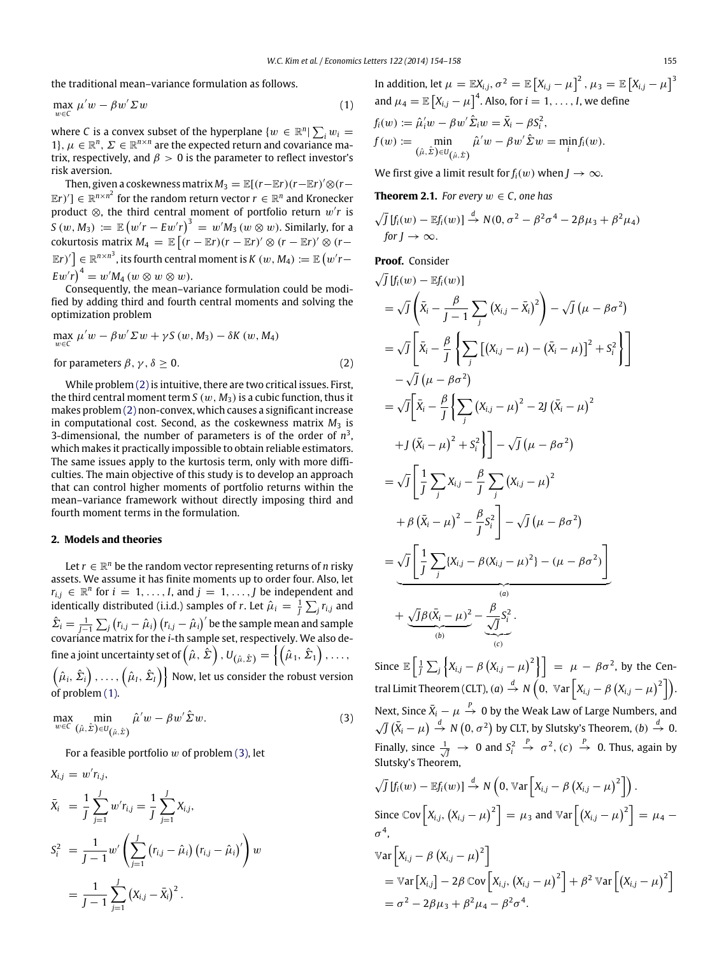the traditional mean–variance formulation as follows.

$$
\max_{w \in \mathcal{C}} \mu' w - \beta w' \Sigma w \tag{1}
$$

where *C* is a convex subset of the hyperplane  $\{w \in \mathbb{R}^n | \sum_i w_i = \emptyset\}$ 1},  $\mu \in \mathbb{R}^n$ ,  $\Sigma \in \mathbb{R}^{n \times n}$  are the expected return and covariance matrix, respectively, and  $\beta > 0$  is the parameter to reflect investor's risk aversion.

Then, given a coskewness matrix  $M_3 = \mathbb{E}[(r-\mathbb{E}r)(r-\mathbb{E}r)'\otimes (r-\mathbb{E}r)]$  $\mathbb{E}(r)^{\prime}$ ]  $\in \mathbb{R}^{n \times n^2}$  for the random return vector  $r \in \mathbb{R}^n$  and Kronecker product ⊗, the third central moment of portfolio return w′ *r* is  $S\left(w,M_3\right)\ \coloneqq\ \mathbb{E}\left(w'r- Ew'r\right)^3\ =\ w'M_3\left(w\otimes w\right).$  Similarly, for a  $\mathbb{E}\left[\left(r-\mathbb{E}r\right)\left(r-\mathbb{E}r\right)'\otimes\left(r-\mathbb{E}r\right)'\otimes\left(r-\mathbb{E}r\right)\right]$  $\mathbb{E}[F] \in \mathbb{R}^{n \times n^3}$ , its fourth central moment is  $K\left(w,M_4\right) := \mathbb{E}\left(w'r - \frac{1}{2}\right)$  $E w'r$ <sup>4</sup> =  $w'M_4$  ( $w \otimes w \otimes w$ ).

Consequently, the mean–variance formulation could be modified by adding third and fourth central moments and solving the optimization problem

$$
\max_{w \in C} \mu' w - \beta w' \Sigma w + \gamma S(w, M_3) - \delta K(w, M_4)
$$
  
for parameters  $\beta, \gamma, \delta \ge 0$ . (2)

While problem [\(2\)](#page-1-0) is intuitive, there are two critical issues. First, the third central moment term *S* ( $w$ ,  $M_3$ ) is a cubic function, thus it makes problem [\(2\)](#page-1-0) non-convex, which causes a significant increase in computational cost. Second, as the coskewness matrix  $M_3$  is 3-dimensional, the number of parameters is of the order of  $n<sup>3</sup>$ , which makes it practically impossible to obtain reliable estimators. The same issues apply to the kurtosis term, only with more difficulties. The main objective of this study is to develop an approach that can control higher moments of portfolio returns within the mean–variance framework without directly imposing third and fourth moment terms in the formulation.

## **2. Models and theories**

Let  $r \in \mathbb{R}^n$  be the random vector representing returns of *n* risky assets. We assume it has finite moments up to order four. Also, let  $r_{i,j} \in \mathbb{R}^n$  for  $i = 1, \ldots, I$ , and  $j = 1, \ldots, J$  be independent and identically distributed (i.i.d.) samples of *r*. Let  $\hat{\mu}_i = \frac{1}{J}\sum_j r_{i,j}$  and  $\hat{\Sigma}_i = \frac{1}{J-1} \sum_j (r_{i,j} - \hat{\mu}_i) (r_{i,j} - \hat{\mu}_i)'$  be the sample mean and sample covariance matrix for the *i*-th sample set, respectively. We also define a joint uncertainty set of  $\left(\hat\mu,\,\hat\Sigma\right)$  ,  $U_{\left(\hat\mu,\,\hat\Sigma\right)}=\left\{\left(\hat\mu_1,\,\hat\Sigma_1\right),\ldots, \right.$  $\left\{\hat\mu_i, \hat\Sigma_i\right\}, \dots, \left\{\hat\mu_I, \hat\Sigma_I\right\}\right\}$  Now, let us consider the robust version of problem [\(1\).](#page-1-1)

$$
\max_{w \in C} \min_{(\hat{\mu}, \hat{\Sigma}) \in U_{(\hat{\mu}, \hat{\Sigma})}} \hat{\mu}' w - \beta w' \hat{\Sigma} w.
$$
 (3)

For a feasible portfolio  $w$  of problem  $(3)$ , let

$$
X_{i,j} = w' r_{i,j},
$$
  
\n
$$
\bar{X}_i = \frac{1}{J} \sum_{j=1}^{J} w' r_{i,j} = \frac{1}{J} \sum_{j=1}^{J} X_{i,j},
$$
  
\n
$$
S_i^2 = \frac{1}{J-1} w' \left( \sum_{j=1}^{J} (r_{i,j} - \hat{\mu}_i) (r_{i,j} - \hat{\mu}_i)' \right) w
$$
  
\n
$$
= \frac{1}{J-1} \sum_{j=1}^{J} (X_{i,j} - \bar{X}_i)^2.
$$

<span id="page-1-1"></span>In addition, let  $\mu = \mathbb{E}X_{i,j}$ ,  $\sigma^2 = \mathbb{E}\left[X_{i,j} - \mu\right]^2$ ,  $\mu_3 = \mathbb{E}\left[X_{i,j} - \mu\right]^3$ and  $\mu_4 = \mathbb{E}\left[X_{i,j} - \mu\right]^4$ . Also, for  $i = 1, \ldots, I$ , we define  $f_i(w) := \hat{\mu}'_i w - \beta w' \hat{\Sigma}_i w = \bar{X}_i - \beta S_i^2,$  $f(w) := \min$  $(\hat{\mu}, \hat{\Sigma}) \in U_{(\hat{\mu}, \hat{\Sigma})}$  $\hat{\mu}'w - \beta w' \hat{\Sigma}w = \min_i f_i(w).$ 

<span id="page-1-3"></span>We first give a limit result for  $f_i(w)$  when  $J \to \infty$ .

**Theorem 2.1.** *For every*  $w \in C$ *, one has* 

$$
\sqrt{J}\left[f_i(w) - \mathbb{E}f_i(w)\right] \stackrel{d}{\rightarrow} N(0, \sigma^2 - \beta^2 \sigma^4 - 2\beta \mu_3 + \beta^2 \mu_4)
$$
  
for  $J \rightarrow \infty$ .

# **Proof.** Consider

<span id="page-1-0"></span>
$$
\sqrt{J} \left[ f_i(w) - \mathbb{E} f_i(w) \right]
$$
\n
$$
= \sqrt{J} \left( \bar{X}_i - \frac{\beta}{J-1} \sum_j \left( X_{i,j} - \bar{X}_i \right)^2 \right) - \sqrt{J} \left( \mu - \beta \sigma^2 \right)
$$
\n
$$
= \sqrt{J} \left[ \bar{X}_i - \frac{\beta}{J} \left\{ \sum_j \left[ \left( X_{i,j} - \mu \right) - \left( \bar{X}_i - \mu \right) \right]^2 + S_i^2 \right\} \right]
$$
\n
$$
- \sqrt{J} \left( \mu - \beta \sigma^2 \right)
$$
\n
$$
= \sqrt{J} \left[ \bar{X}_i - \frac{\beta}{J} \left\{ \sum_j \left( X_{i,j} - \mu \right)^2 - 2J \left( \bar{X}_i - \mu \right)^2 \right\} \right]
$$
\n
$$
+ J \left( \bar{X}_i - \mu \right)^2 + S_i^2 \right\} \right] - \sqrt{J} \left( \mu - \beta \sigma^2 \right)
$$
\n
$$
= \sqrt{J} \left[ \frac{1}{J} \sum_j X_{i,j} - \frac{\beta}{J} \sum_j \left( X_{i,j} - \mu \right)^2 \right]
$$
\n
$$
+ \beta \left( \bar{X}_i - \mu \right)^2 - \frac{\beta}{J} S_i^2 \right] - \sqrt{J} \left( \mu - \beta \sigma^2 \right)
$$
\n
$$
= \frac{\sqrt{J} \left[ \frac{1}{J} \sum_j \left( X_{i,j} - \beta \left( X_{i,j} - \mu \right)^2 \right] - \left( \mu - \beta \sigma^2 \right) \right]}{\left( \sigma \right)}
$$
\n
$$
+ \frac{\sqrt{J} \beta \left( \bar{X}_i - \mu \right)^2}{\left( \sigma \right)} - \frac{\beta}{\sqrt{J}} S_i^2.
$$

<span id="page-1-2"></span>Since  $\mathbb{E}\left[\frac{1}{j}\sum_j \left\{X_{i,j} - \beta\left(X_{i,j} - \mu\right)^2\right\}\right] = \mu - \beta\sigma^2$ , by the Central Limit Theorem (CLT), (*a*)  $\stackrel{d}{\rightarrow} N$   $\left(0, \sqrt{x} \ar\left[X_{i,j} - \beta\left(X_{i,j} - \mu\right)^2\right]\right)$ . Next, Since  $\bar{X}_i - \mu \stackrel{P}{\rightarrow} 0$  by the Weak Law of Large Numbers, and  $\sqrt{J}(\bar{X}_i - \mu) \stackrel{d}{\rightarrow} N(0, \sigma^2)$  by CLT, by Slutsky's Theorem,  $(b) \stackrel{d}{\rightarrow} 0$ . Finally, since  $\frac{1}{\sqrt{J}} \rightarrow 0$  and  $S_i^2$  $\stackrel{P}{\rightarrow}$   $\sigma^2$ , (*c*)  $\stackrel{P}{\rightarrow}$  0. Thus, again by Slutsky's Theorem,

$$
\sqrt{J} [f_i(w) - \mathbb{E} f_i(w)] \xrightarrow{d} N \left( 0, \mathbb{V}ar \left[ X_{i,j} - \beta (X_{i,j} - \mu)^2 \right] \right).
$$
  
Since  $\mathbb{C}ov \left[ X_{i,j}, (X_{i,j} - \mu)^2 \right] = \mu_3$  and  $\mathbb{V}ar \left[ (X_{i,j} - \mu)^2 \right] = \mu_4 - \sigma^4$ ,  
 $\mathbb{V}ar \left[ X_{i,j} - \beta (X_{i,j} - \mu)^2 \right]$   
 $= \mathbb{V}ar \left[ X_{i,j} \right] - 2\beta \mathbb{C}ov \left[ X_{i,j}, (X_{i,j} - \mu)^2 \right] + \beta^2 \mathbb{V}ar \left[ (X_{i,j} - \mu)^2 \right]$   
 $= \sigma^2 - 2\beta \mu_3 + \beta^2 \mu_4 - \beta^2 \sigma^4.$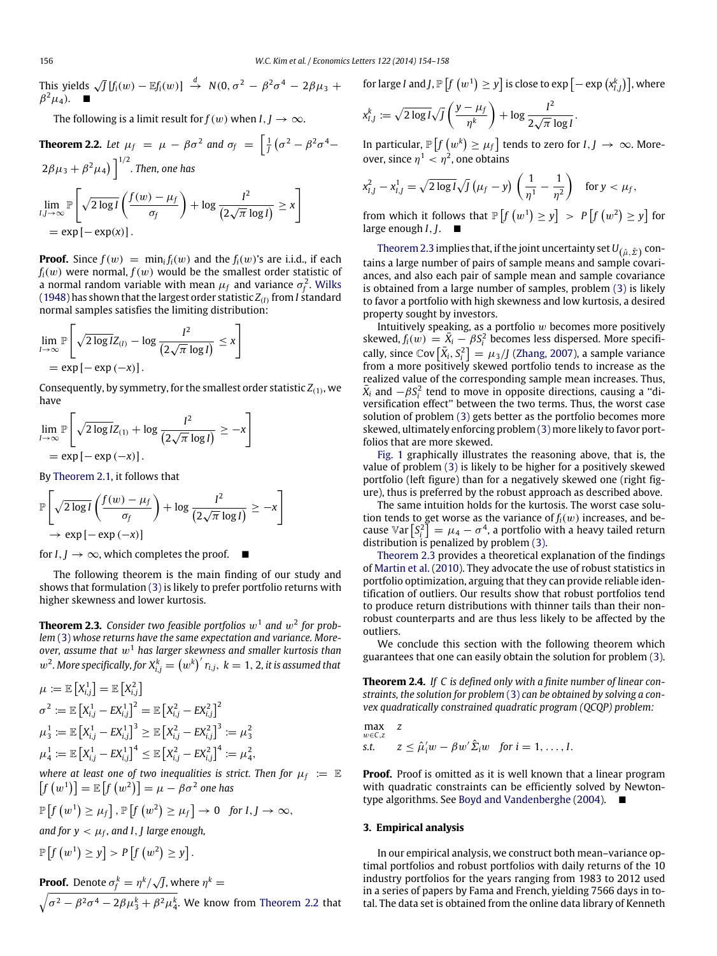This yields  $\sqrt{J} [f_i(w) - \mathbb{E} f_i(w)] \overset{d}{\rightarrow} N(0, \sigma^2 - \beta^2 \sigma^4 - 2\beta \mu_3 +$  $\beta^2\mu_4$ ).  $\blacksquare$ 

<span id="page-2-0"></span>The following is a limit result for  $f(w)$  when  $I, J \rightarrow \infty$ .

**Theorem 2.2.** Let 
$$
\mu_f = \mu - \beta \sigma^2
$$
 and  $\sigma_f = \left[\frac{1}{J}(\sigma^2 - \beta^2 \sigma^4 - 2\beta\mu_3 + \beta^2\mu_4)\right]^{1/2}$ . Then, one has  
\n
$$
\lim_{I,J \to \infty} \mathbb{P}\left[\sqrt{2\log I}\left(\frac{f(w) - \mu_f}{\sigma_f}\right) + \log \frac{I^2}{(2\sqrt{\pi} \log I)} \ge x\right]
$$
\n
$$
= \exp\left[-\exp(x)\right].
$$

**Proof.** Since  $f(w) = \min_i f_i(w)$  and the  $f_i(w)$ 's are i.i.d., if each  $f_i(w)$  were normal,  $f(w)$  would be the smallest order statistic of a normal random variable with mean  $\mu_f$  and variance  $\sigma_f^2.$  [Wilks](#page-4-1) [\(1948\)](#page-4-1) has shown that the largest order statistic *Z*(*I*) from *I* standard normal samples satisfies the limiting distribution:

$$
\lim_{l\to\infty} \mathbb{P}\left[\sqrt{2\log l}Z_{(l)} - \log \frac{l^2}{(2\sqrt{\pi}\log l)} \leq x\right]
$$
  
=  $\exp\left[-\exp(-x)\right].$ 

Consequently, by symmetry, for the smallest order statistic  $Z_{\left(1\right)}$ , we have

$$
\lim_{l\to\infty} \mathbb{P}\left[\sqrt{2\log l}Z_{(1)} + \log \frac{l^2}{(2\sqrt{\pi}\log l)} \geq -x\right]
$$
  
=  $\exp\left[-\exp\left(-x\right)\right].$ 

By [Theorem 2.1,](#page-1-3) it follows that

$$
\mathbb{P}\left[\sqrt{2\log I}\left(\frac{f(w)-\mu_f}{\sigma_f}\right)+\log\frac{I^2}{(2\sqrt{\pi}\log I)}\geq -x\right]
$$
  
\n
$$
\rightarrow \exp[-\exp(-x)]
$$

for  $I, I \rightarrow \infty$ , which completes the proof.  $\blacksquare$ 

The following theorem is the main finding of our study and shows that formulation [\(3\)](#page-1-2) is likely to prefer portfolio returns with higher skewness and lower kurtosis.

<span id="page-2-1"></span>**Theorem 2.3.** Consider two feasible portfolios  $w^1$  and  $w^2$  for prob*lem* [\(3\)](#page-1-2) *whose returns have the same expectation and variance. Moreover, assume that*  $w<sup>1</sup>$  *has larger skewness and smaller kurtosis than*  $w^2$ . More specifically, for  $X_{i,j}^k = \left(w^k\right)' r_{i,j}, \ k=1,2$ , it is assumed that

$$
\mu := \mathbb{E}\left[X_{i,j}^1\right] = \mathbb{E}\left[X_{i,j}^2\right] \n\sigma^2 := \mathbb{E}\left[X_{i,j}^1 - EX_{i,j}^1\right]^2 = \mathbb{E}\left[X_{i,j}^2 - EX_{i,j}^2\right]^2 \n\mu_3^1 := \mathbb{E}\left[X_{i,j}^1 - EX_{i,j}^1\right]^3 \ge \mathbb{E}\left[X_{i,j}^2 - EX_{i,j}^2\right]^3 := \mu_3^2 \n\mu_4^1 := \mathbb{E}\left[X_{i,j}^1 - EX_{i,j}^1\right]^4 \le \mathbb{E}\left[X_{i,j}^2 - EX_{i,j}^2\right]^4 := \mu_4^2,
$$

where at least one of two inequalities is strict. Then for  $\mu_f := \mathbb{E}$  $\left[ f\left( w^{1}\right) \right] =\Bbb{E}\left[ f\left( w^{2}\right) \right] =\mu -\beta \sigma ^{2}$  one has

$$
\mathbb{P}\left[f\left(w^{1}\right)\geq\mu_{f}\right],\,\mathbb{P}\left[f\left(w^{2}\right)\geq\mu_{f}\right]\rightarrow0\text{ for }I,J\rightarrow\infty,
$$

and for  $y < \mu_f$ , and I , J large enough,

$$
\mathbb{P}\left[f\left(w^{1}\right)\geq y\right]>P\left[f\left(w^{2}\right)\geq y\right].
$$

**Proof.** Denote 
$$
\sigma_f^k = \eta^k / \sqrt{J}
$$
, where  $\eta^k = \sqrt{\sigma^2 - \beta^2 \sigma^4 - 2\beta \mu_3^k + \beta^2 \mu_4^k}$ . We know from Theorem 2.2 that

for large *I* and *J*,  $\mathbb{P}\left[f\left(w^{1}\right) \geq y\right]$  is close to  $\exp\left[-\exp\left(x_{l,j}^{k}\right)\right]$ , where

$$
x_{I,J}^k := \sqrt{2 \log I} \sqrt{J} \left( \frac{y - \mu_f}{\eta^k} \right) + \log \frac{I^2}{2 \sqrt{\pi} \log I}.
$$

In particular,  $\mathbb{P}\left[f\left(w^k\right)\geq \mu_f\right]$  tends to zero for  $I,J$   $\rightarrow$   $\infty$ . Moreover, since  $\eta^1 < \eta^2$ , one obtains

$$
x_{I,J}^2 - x_{I,J}^1 = \sqrt{2 \log I} \sqrt{J} \left(\mu_f - y\right) \left(\frac{1}{\eta^1} - \frac{1}{\eta^2}\right) \quad \text{for } y < \mu_f,
$$

from which it follows that  $\mathbb{P}\left[f\left(w^{1}\right) \geq y\right] > P\left[f\left(w^{2}\right) \geq y\right]$  for large enough *I*, *J*.

[Theorem 2.3](#page-2-1) implies that, if the joint uncertainty set  $U_{\left(\hat\mu,\hat\varSigma\right)}$  contains a large number of pairs of sample means and sample covariances, and also each pair of sample mean and sample covariance is obtained from a large number of samples, problem [\(3\)](#page-1-2) is likely to favor a portfolio with high skewness and low kurtosis, a desired property sought by investors.

Intuitively speaking, as a portfolio  $w$  becomes more positively skewed,  $f_i(w) = \bar{X}_i - \beta S_i^2$  becomes less dispersed. More specifically, since  $\text{Cov}\left[\bar{X}_i, S_i^2\right] = \mu_3 / J$  [\(Zhang,](#page-4-2) [2007\)](#page-4-2), a sample variance from a more positively skewed portfolio tends to increase as the realized value of the corresponding sample mean increases. Thus,  $\bar{X}_i$  and  $-\beta S_i^2$  tend to move in opposite directions, causing a "diversification effect'' between the two terms. Thus, the worst case solution of problem [\(3\)](#page-1-2) gets better as the portfolio becomes more skewed, ultimately enforcing problem [\(3\)](#page-1-2) more likely to favor portfolios that are more skewed.

[Fig. 1](#page-3-0) graphically illustrates the reasoning above, that is, the value of problem [\(3\)](#page-1-2) is likely to be higher for a positively skewed portfolio (left figure) than for a negatively skewed one (right figure), thus is preferred by the robust approach as described above.

The same intuition holds for the kurtosis. The worst case solution tends to get worse as the variance of  $f_i(w)$  increases, and because  $\mathbb{V}\text{ar}\left[S_i^2\right] = \mu_4 - \sigma^4$ , a portfolio with a heavy tailed return distribution is penalized by problem [\(3\).](#page-1-2)

[Theorem 2.3](#page-2-1) provides a theoretical explanation of the findings of [Martin](#page-4-3) [et al.](#page-4-3) [\(2010\)](#page-4-3). They advocate the use of robust statistics in portfolio optimization, arguing that they can provide reliable identification of outliers. Our results show that robust portfolios tend to produce return distributions with thinner tails than their nonrobust counterparts and are thus less likely to be affected by the outliers.

We conclude this section with the following theorem which guarantees that one can easily obtain the solution for problem [\(3\).](#page-1-2)

<span id="page-2-2"></span>**Theorem 2.4.** *If C is defined only with a finite number of linear constraints, the solution for problem* [\(3\)](#page-1-2) *can be obtained by solving a convex quadratically constrained quadratic program (QCQP) problem:*

$$
\max_{w \in C, z} z
$$
  
s.t.  $z \le \hat{\mu}_i' w - \beta w' \hat{\Sigma}_i w$  for  $i = 1, ..., I$ .

**Proof.** Proof is omitted as it is well known that a linear program with quadratic constraints can be efficiently solved by Newtontype algorithms. See [Boyd](#page-4-4) [and](#page-4-4) [Vandenberghe](#page-4-4) [\(2004\)](#page-4-4).

#### **3. Empirical analysis**

In our empirical analysis, we construct both mean–variance optimal portfolios and robust portfolios with daily returns of the 10 industry portfolios for the years ranging from 1983 to 2012 used in a series of papers by Fama and French, yielding 7566 days in total. The data set is obtained from the online data library of Kenneth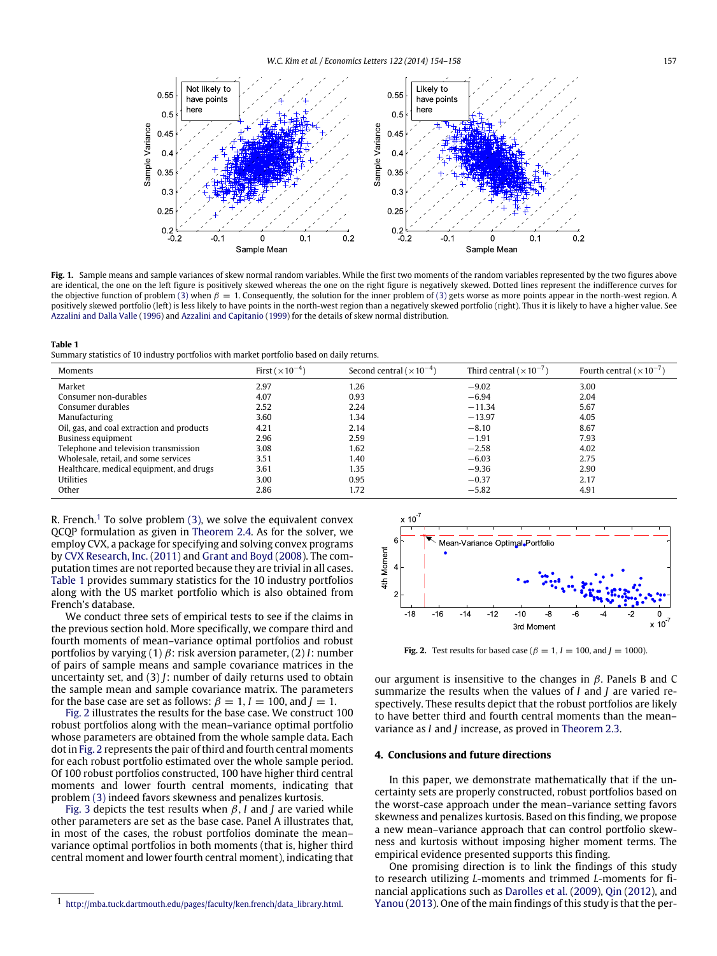<span id="page-3-0"></span>

Fig. 1. Sample means and sample variances of skew normal random variables. While the first two moments of the random variables represented by the two figures above are identical, the one on the left figure is positively skewed whereas the one on the right figure is negatively skewed. Dotted lines represent the indifference curves for the objective function of problem [\(3\)](#page-1-2) when  $\beta = 1$ . Consequently, the solution for the inner problem of (3) gets worse as more points appear in the north-west region. A positively skewed portfolio (left) is less likely to have points in the north-west region than a negatively skewed portfolio (right). Thus it is likely to have a higher value. See [Azzalini](#page-4-5) [and](#page-4-5) [Dalla](#page-4-5) [Valle](#page-4-5) [\(1996\)](#page-4-5) and [Azzalini](#page-4-6) [and](#page-4-6) [Capitanio](#page-4-6) [\(1999\)](#page-4-6) for the details of skew normal distribution.

#### <span id="page-3-2"></span>**Table 1**

Summary statistics of 10 industry portfolios with market portfolio based on daily returns.

| Moments                                    | First $(\times 10^{-4})$ | Second central $(\times 10^{-4})$ | Third central ( $\times$ 10 <sup>-7</sup> ) | Fourth central ( $\times$ 10 <sup>-7</sup> ) |
|--------------------------------------------|--------------------------|-----------------------------------|---------------------------------------------|----------------------------------------------|
| Market                                     | 2.97                     | 1.26                              | $-9.02$                                     | 3.00                                         |
| Consumer non-durables                      | 4.07                     | 0.93                              | $-6.94$                                     | 2.04                                         |
| Consumer durables                          | 2.52                     | 2.24                              | $-11.34$                                    | 5.67                                         |
| Manufacturing                              | 3.60                     | 1.34                              | $-13.97$                                    | 4.05                                         |
| Oil, gas, and coal extraction and products | 4.21                     | 2.14                              | $-8.10$                                     | 8.67                                         |
| Business equipment                         | 2.96                     | 2.59                              | $-1.91$                                     | 7.93                                         |
| Telephone and television transmission      | 3.08                     | 1.62                              | $-2.58$                                     | 4.02                                         |
| Wholesale, retail, and some services       | 3.51                     | 1.40                              | $-6.03$                                     | 2.75                                         |
| Healthcare, medical equipment, and drugs   | 3.61                     | 1.35                              | $-9.36$                                     | 2.90                                         |
| <b>Utilities</b>                           | 3.00                     | 0.95                              | $-0.37$                                     | 2.17                                         |
| Other                                      | 2.86                     | 1.72                              | $-5.82$                                     | 4.91                                         |

R. French.<sup>[1](#page-3-1)</sup> To solve problem  $(3)$ , we solve the equivalent convex QCQP formulation as given in [Theorem 2.4.](#page-2-2) As for the solver, we employ CVX, a package for specifying and solving convex programs by [CVX](#page-4-7) [Research,](#page-4-7) [Inc.](#page-4-7) [\(2011\)](#page-4-7) and [Grant](#page-4-8) [and](#page-4-8) [Boyd](#page-4-8) [\(2008\)](#page-4-8). The computation times are not reported because they are trivial in all cases. [Table 1](#page-3-2) provides summary statistics for the 10 industry portfolios along with the US market portfolio which is also obtained from French's database.

We conduct three sets of empirical tests to see if the claims in the previous section hold. More specifically, we compare third and fourth moments of mean–variance optimal portfolios and robust portfolios by varying (1) β: risk aversion parameter, (2) *I*: number of pairs of sample means and sample covariance matrices in the uncertainty set, and (3) *J*: number of daily returns used to obtain the sample mean and sample covariance matrix. The parameters for the base case are set as follows:  $\beta = 1$ ,  $I = 100$ , and  $I = 1$ .

[Fig. 2](#page-3-3) illustrates the results for the base case. We construct 100 robust portfolios along with the mean–variance optimal portfolio whose parameters are obtained from the whole sample data. Each dot in [Fig. 2](#page-3-3) represents the pair of third and fourth central moments for each robust portfolio estimated over the whole sample period. Of 100 robust portfolios constructed, 100 have higher third central moments and lower fourth central moments, indicating that problem [\(3\)](#page-1-2) indeed favors skewness and penalizes kurtosis.

[Fig. 3](#page-4-9) depicts the test results when  $\beta$ , *I* and *J* are varied while other parameters are set as the base case. Panel A illustrates that, in most of the cases, the robust portfolios dominate the mean– variance optimal portfolios in both moments (that is, higher third central moment and lower fourth central moment), indicating that

<span id="page-3-3"></span>

**Fig. 2.** Test results for based case ( $\beta = 1$ ,  $I = 100$ , and  $J = 1000$ ).

our argument is insensitive to the changes in  $\beta$ . Panels B and C summarize the results when the values of *I* and *J* are varied respectively. These results depict that the robust portfolios are likely to have better third and fourth central moments than the mean– variance as *I* and *J* increase, as proved in [Theorem 2.3.](#page-2-1)

## **4. Conclusions and future directions**

In this paper, we demonstrate mathematically that if the uncertainty sets are properly constructed, robust portfolios based on the worst-case approach under the mean–variance setting favors skewness and penalizes kurtosis. Based on this finding, we propose a new mean–variance approach that can control portfolio skewness and kurtosis without imposing higher moment terms. The empirical evidence presented supports this finding.

One promising direction is to link the findings of this study to research utilizing *L*-moments and trimmed *L*-moments for financial applications such as [Darolles](#page-4-10) [et al.](#page-4-10) [\(2009\)](#page-4-10), [Qin](#page-4-11) [\(2012\)](#page-4-11), and [Yanou](#page-4-12) [\(2013\)](#page-4-12). One of the main findings of this study is that the per-

<span id="page-3-1"></span> $1 \;$ [http://mba.tuck.dartmouth.edu/pages/faculty/ken.french/data\\_library.html.](http://mba.tuck.dartmouth.edu/pages/faculty/ken.french/data_library.html)